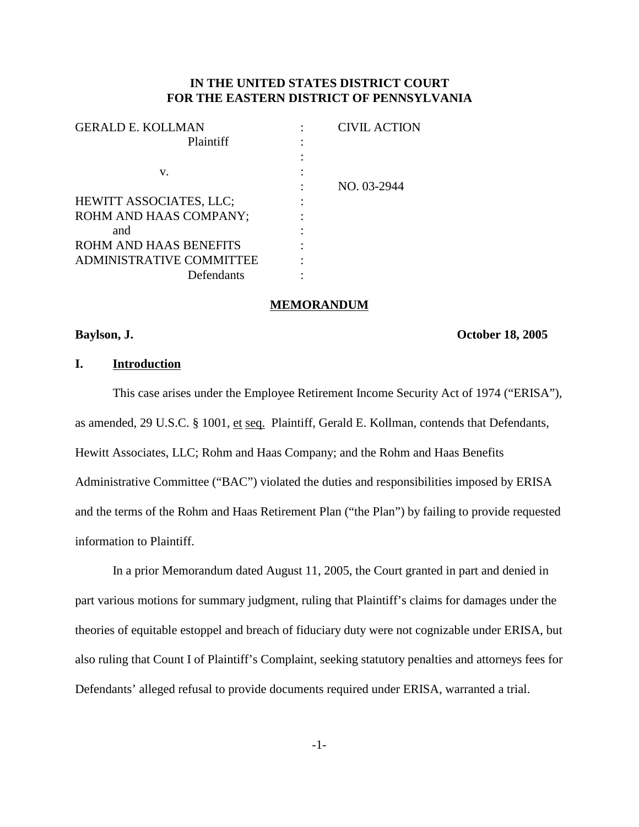## **IN THE UNITED STATES DISTRICT COURT FOR THE EASTERN DISTRICT OF PENNSYLVANIA**

| <b>CIVIL ACTION</b> |
|---------------------|
|                     |
|                     |
|                     |
| NO. 03-2944         |
|                     |
|                     |
|                     |
|                     |
|                     |
|                     |
|                     |

#### **MEMORANDUM**

## **Baylson, J. October 18, 2005**

# **I. Introduction**

This case arises under the Employee Retirement Income Security Act of 1974 ("ERISA"), as amended, 29 U.S.C. § 1001, et seq. Plaintiff, Gerald E. Kollman, contends that Defendants, Hewitt Associates, LLC; Rohm and Haas Company; and the Rohm and Haas Benefits Administrative Committee ("BAC") violated the duties and responsibilities imposed by ERISA and the terms of the Rohm and Haas Retirement Plan ("the Plan") by failing to provide requested information to Plaintiff.

In a prior Memorandum dated August 11, 2005, the Court granted in part and denied in part various motions for summary judgment, ruling that Plaintiff's claims for damages under the theories of equitable estoppel and breach of fiduciary duty were not cognizable under ERISA, but also ruling that Count I of Plaintiff's Complaint, seeking statutory penalties and attorneys fees for Defendants' alleged refusal to provide documents required under ERISA, warranted a trial.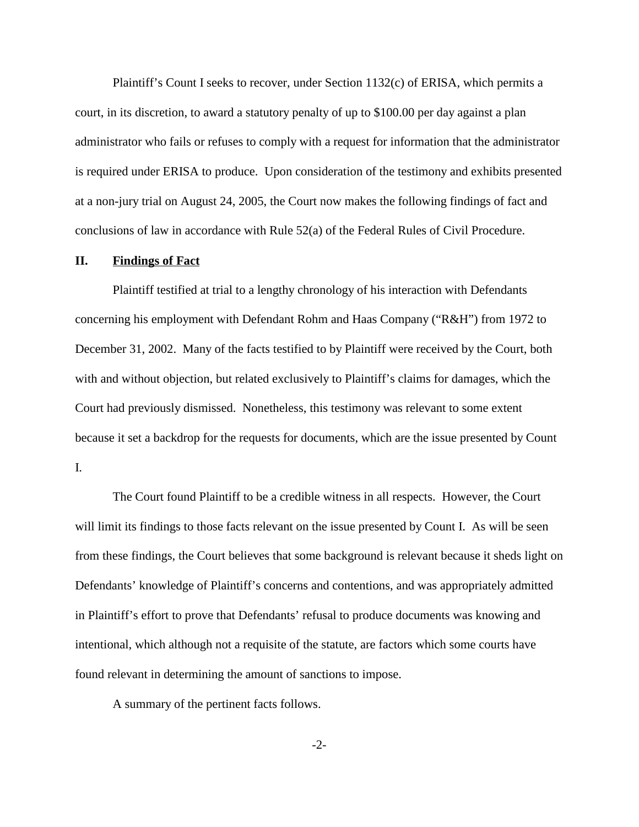Plaintiff's Count I seeks to recover, under Section 1132(c) of ERISA, which permits a court, in its discretion, to award a statutory penalty of up to \$100.00 per day against a plan administrator who fails or refuses to comply with a request for information that the administrator is required under ERISA to produce. Upon consideration of the testimony and exhibits presented at a non-jury trial on August 24, 2005, the Court now makes the following findings of fact and conclusions of law in accordance with Rule 52(a) of the Federal Rules of Civil Procedure.

## **II. Findings of Fact**

Plaintiff testified at trial to a lengthy chronology of his interaction with Defendants concerning his employment with Defendant Rohm and Haas Company ("R&H") from 1972 to December 31, 2002. Many of the facts testified to by Plaintiff were received by the Court, both with and without objection, but related exclusively to Plaintiff's claims for damages, which the Court had previously dismissed. Nonetheless, this testimony was relevant to some extent because it set a backdrop for the requests for documents, which are the issue presented by Count I.

The Court found Plaintiff to be a credible witness in all respects. However, the Court will limit its findings to those facts relevant on the issue presented by Count I. As will be seen from these findings, the Court believes that some background is relevant because it sheds light on Defendants' knowledge of Plaintiff's concerns and contentions, and was appropriately admitted in Plaintiff's effort to prove that Defendants' refusal to produce documents was knowing and intentional, which although not a requisite of the statute, are factors which some courts have found relevant in determining the amount of sanctions to impose.

A summary of the pertinent facts follows.

-2-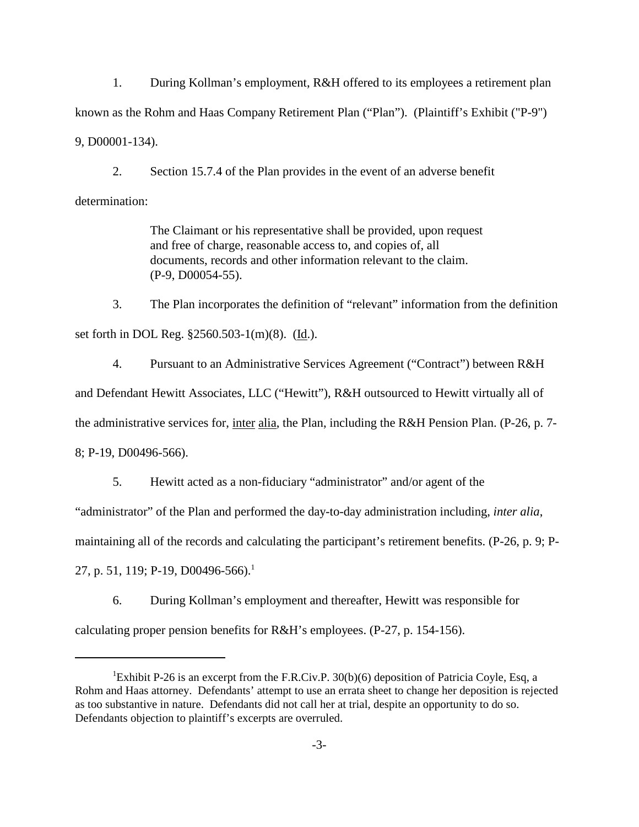1. During Kollman's employment, R&H offered to its employees a retirement plan known as the Rohm and Haas Company Retirement Plan ("Plan"). (Plaintiff's Exhibit ("P-9") 9, D00001-134).

2. Section 15.7.4 of the Plan provides in the event of an adverse benefit determination:

> The Claimant or his representative shall be provided, upon request and free of charge, reasonable access to, and copies of, all documents, records and other information relevant to the claim. (P-9, D00054-55).

3. The Plan incorporates the definition of "relevant" information from the definition set forth in DOL Reg. §2560.503-1(m)(8). (Id.).

4. Pursuant to an Administrative Services Agreement ("Contract") between R&H and Defendant Hewitt Associates, LLC ("Hewitt"), R&H outsourced to Hewitt virtually all of the administrative services for, inter alia, the Plan, including the R&H Pension Plan. (P-26, p. 7- 8; P-19, D00496-566).

5. Hewitt acted as a non-fiduciary "administrator" and/or agent of the

"administrator" of the Plan and performed the day-to-day administration including, *inter alia*,

maintaining all of the records and calculating the participant's retirement benefits. (P-26, p. 9; P-

27, p. 51, 119; P-19, D00496-566).<sup>1</sup>

6. During Kollman's employment and thereafter, Hewitt was responsible for calculating proper pension benefits for R&H's employees. (P-27, p. 154-156).

<sup>&</sup>lt;sup>1</sup>Exhibit P-26 is an excerpt from the F.R.Civ.P. 30(b)(6) deposition of Patricia Coyle, Esq, a Rohm and Haas attorney. Defendants' attempt to use an errata sheet to change her deposition is rejected as too substantive in nature. Defendants did not call her at trial, despite an opportunity to do so. Defendants objection to plaintiff's excerpts are overruled.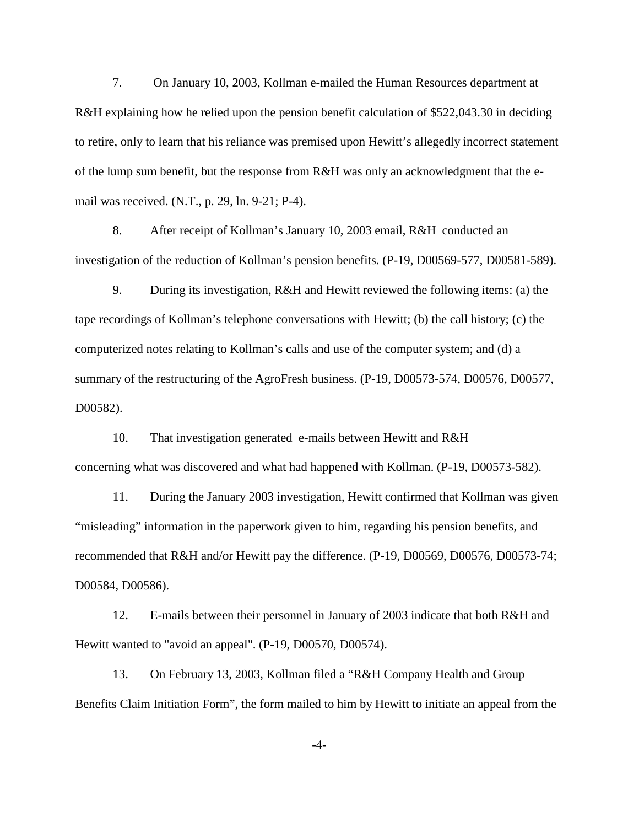7. On January 10, 2003, Kollman e-mailed the Human Resources department at R&H explaining how he relied upon the pension benefit calculation of \$522,043.30 in deciding to retire, only to learn that his reliance was premised upon Hewitt's allegedly incorrect statement of the lump sum benefit, but the response from R&H was only an acknowledgment that the email was received. (N.T., p. 29, ln. 9-21; P-4).

8. After receipt of Kollman's January 10, 2003 email, R&H conducted an investigation of the reduction of Kollman's pension benefits. (P-19, D00569-577, D00581-589).

9. During its investigation, R&H and Hewitt reviewed the following items: (a) the tape recordings of Kollman's telephone conversations with Hewitt; (b) the call history; (c) the computerized notes relating to Kollman's calls and use of the computer system; and (d) a summary of the restructuring of the AgroFresh business. (P-19, D00573-574, D00576, D00577, D00582).

10. That investigation generated e-mails between Hewitt and R&H concerning what was discovered and what had happened with Kollman. (P-19, D00573-582).

11. During the January 2003 investigation, Hewitt confirmed that Kollman was given "misleading" information in the paperwork given to him, regarding his pension benefits, and recommended that R&H and/or Hewitt pay the difference. (P-19, D00569, D00576, D00573-74; D00584, D00586).

12. E-mails between their personnel in January of 2003 indicate that both R&H and Hewitt wanted to "avoid an appeal". (P-19, D00570, D00574).

13. On February 13, 2003, Kollman filed a "R&H Company Health and Group Benefits Claim Initiation Form", the form mailed to him by Hewitt to initiate an appeal from the

-4-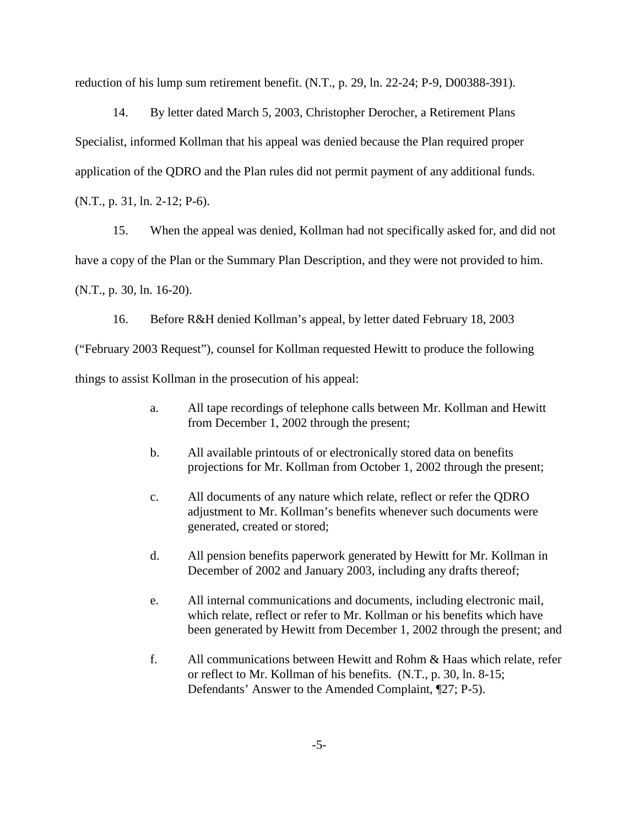reduction of his lump sum retirement benefit. (N.T., p. 29, ln. 22-24; P-9, D00388-391).

14. By letter dated March 5, 2003, Christopher Derocher, a Retirement Plans Specialist, informed Kollman that his appeal was denied because the Plan required proper application of the QDRO and the Plan rules did not permit payment of any additional funds. (N.T., p. 31, ln. 2-12; P-6).

15. When the appeal was denied, Kollman had not specifically asked for, and did not have a copy of the Plan or the Summary Plan Description, and they were not provided to him. (N.T., p. 30, ln. 16-20).

16. Before R&H denied Kollman's appeal, by letter dated February 18, 2003 ("February 2003 Request"), counsel for Kollman requested Hewitt to produce the following things to assist Kollman in the prosecution of his appeal:

- a. All tape recordings of telephone calls between Mr. Kollman and Hewitt from December 1, 2002 through the present;
- b. All available printouts of or electronically stored data on benefits projections for Mr. Kollman from October 1, 2002 through the present;
- c. All documents of any nature which relate, reflect or refer the QDRO adjustment to Mr. Kollman's benefits whenever such documents were generated, created or stored;
- d. All pension benefits paperwork generated by Hewitt for Mr. Kollman in December of 2002 and January 2003, including any drafts thereof;
- e. All internal communications and documents, including electronic mail, which relate, reflect or refer to Mr. Kollman or his benefits which have been generated by Hewitt from December 1, 2002 through the present; and
- f. All communications between Hewitt and Rohm & Haas which relate, refer or reflect to Mr. Kollman of his benefits. (N.T., p. 30, ln. 8-15; Defendants' Answer to the Amended Complaint, ¶27; P-5).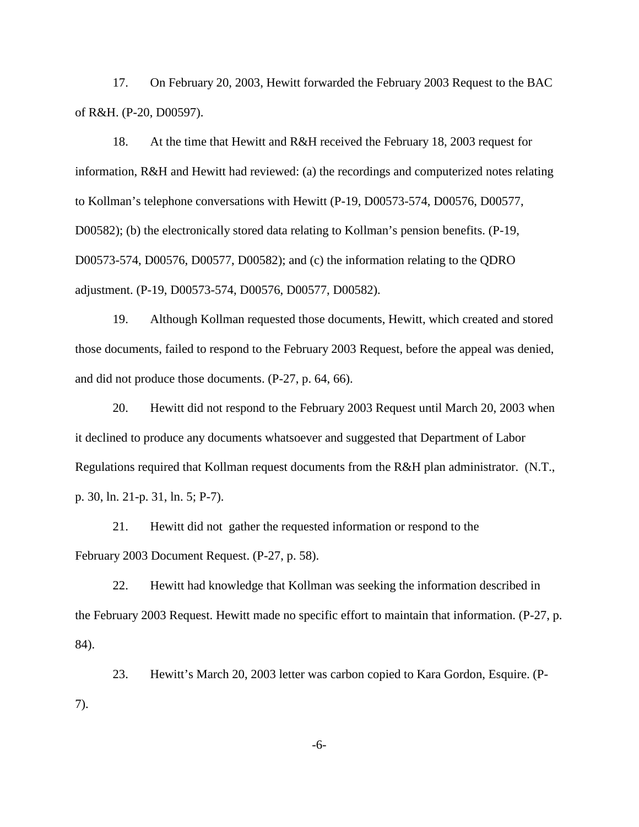17. On February 20, 2003, Hewitt forwarded the February 2003 Request to the BAC of R&H. (P-20, D00597).

18. At the time that Hewitt and R&H received the February 18, 2003 request for information, R&H and Hewitt had reviewed: (a) the recordings and computerized notes relating to Kollman's telephone conversations with Hewitt (P-19, D00573-574, D00576, D00577, D00582); (b) the electronically stored data relating to Kollman's pension benefits. (P-19, D00573-574, D00576, D00577, D00582); and (c) the information relating to the QDRO adjustment. (P-19, D00573-574, D00576, D00577, D00582).

19. Although Kollman requested those documents, Hewitt, which created and stored those documents, failed to respond to the February 2003 Request, before the appeal was denied, and did not produce those documents. (P-27, p. 64, 66).

20. Hewitt did not respond to the February 2003 Request until March 20, 2003 when it declined to produce any documents whatsoever and suggested that Department of Labor Regulations required that Kollman request documents from the R&H plan administrator. (N.T., p. 30, ln. 21-p. 31, ln. 5; P-7).

21. Hewitt did not gather the requested information or respond to the February 2003 Document Request. (P-27, p. 58).

22. Hewitt had knowledge that Kollman was seeking the information described in the February 2003 Request. Hewitt made no specific effort to maintain that information. (P-27, p. 84).

23. Hewitt's March 20, 2003 letter was carbon copied to Kara Gordon, Esquire. (P-7).

-6-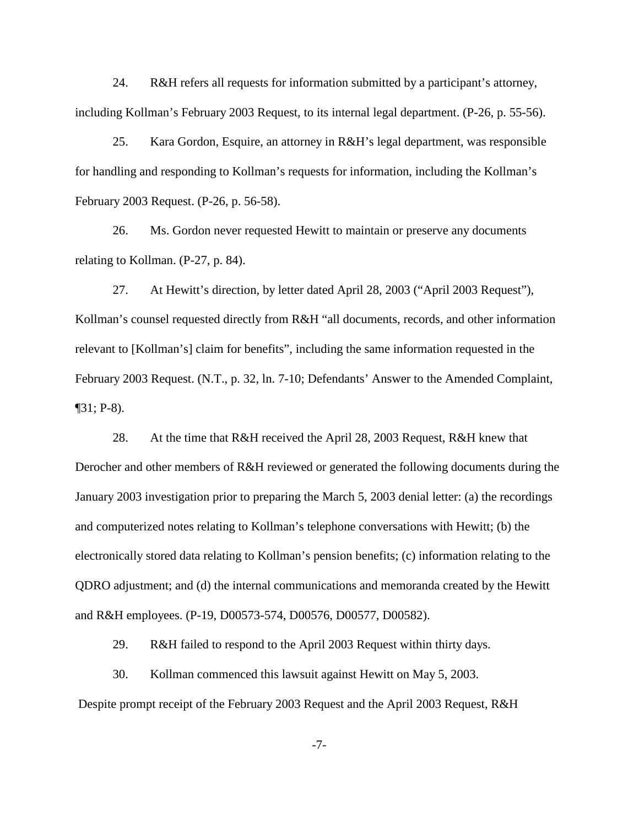24. R&H refers all requests for information submitted by a participant's attorney, including Kollman's February 2003 Request, to its internal legal department. (P-26, p. 55-56).

25. Kara Gordon, Esquire, an attorney in R&H's legal department, was responsible for handling and responding to Kollman's requests for information, including the Kollman's February 2003 Request. (P-26, p. 56-58).

26. Ms. Gordon never requested Hewitt to maintain or preserve any documents relating to Kollman. (P-27, p. 84).

27. At Hewitt's direction, by letter dated April 28, 2003 ("April 2003 Request"), Kollman's counsel requested directly from R&H "all documents, records, and other information relevant to [Kollman's] claim for benefits", including the same information requested in the February 2003 Request. (N.T., p. 32, ln. 7-10; Defendants' Answer to the Amended Complaint,  $\P$ 31; P-8).

28. At the time that R&H received the April 28, 2003 Request, R&H knew that Derocher and other members of R&H reviewed or generated the following documents during the January 2003 investigation prior to preparing the March 5, 2003 denial letter: (a) the recordings and computerized notes relating to Kollman's telephone conversations with Hewitt; (b) the electronically stored data relating to Kollman's pension benefits; (c) information relating to the QDRO adjustment; and (d) the internal communications and memoranda created by the Hewitt and R&H employees. (P-19, D00573-574, D00576, D00577, D00582).

29. R&H failed to respond to the April 2003 Request within thirty days.

30. Kollman commenced this lawsuit against Hewitt on May 5, 2003.

Despite prompt receipt of the February 2003 Request and the April 2003 Request, R&H

-7-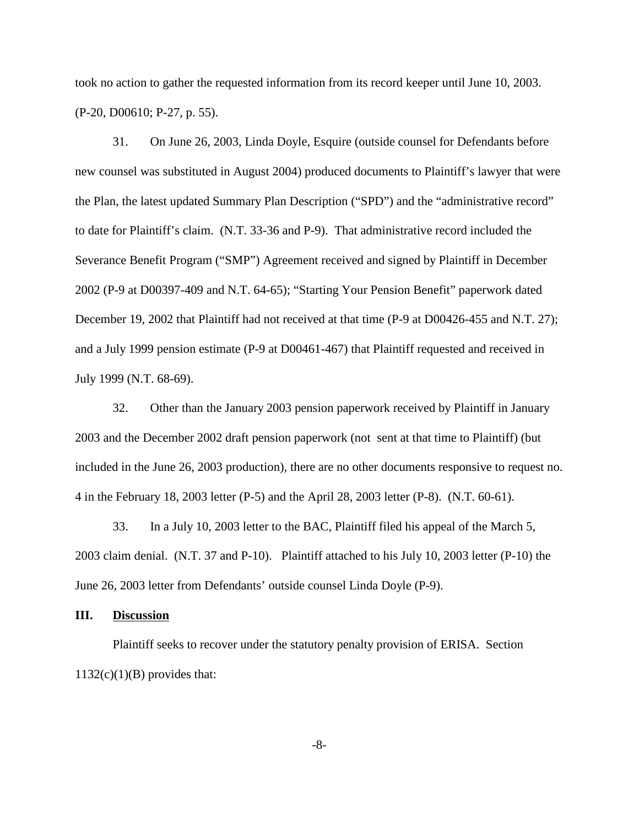took no action to gather the requested information from its record keeper until June 10, 2003. (P-20, D00610; P-27, p. 55).

31. On June 26, 2003, Linda Doyle, Esquire (outside counsel for Defendants before new counsel was substituted in August 2004) produced documents to Plaintiff's lawyer that were the Plan, the latest updated Summary Plan Description ("SPD") and the "administrative record" to date for Plaintiff's claim. (N.T. 33-36 and P-9). That administrative record included the Severance Benefit Program ("SMP") Agreement received and signed by Plaintiff in December 2002 (P-9 at D00397-409 and N.T. 64-65); "Starting Your Pension Benefit" paperwork dated December 19, 2002 that Plaintiff had not received at that time (P-9 at D00426-455 and N.T. 27); and a July 1999 pension estimate (P-9 at D00461-467) that Plaintiff requested and received in July 1999 (N.T. 68-69).

32. Other than the January 2003 pension paperwork received by Plaintiff in January 2003 and the December 2002 draft pension paperwork (not sent at that time to Plaintiff) (but included in the June 26, 2003 production), there are no other documents responsive to request no. 4 in the February 18, 2003 letter (P-5) and the April 28, 2003 letter (P-8). (N.T. 60-61).

33. In a July 10, 2003 letter to the BAC, Plaintiff filed his appeal of the March 5, 2003 claim denial. (N.T. 37 and P-10). Plaintiff attached to his July 10, 2003 letter (P-10) the June 26, 2003 letter from Defendants' outside counsel Linda Doyle (P-9).

## **III. Discussion**

Plaintiff seeks to recover under the statutory penalty provision of ERISA. Section  $1132(c)(1)(B)$  provides that:

-8-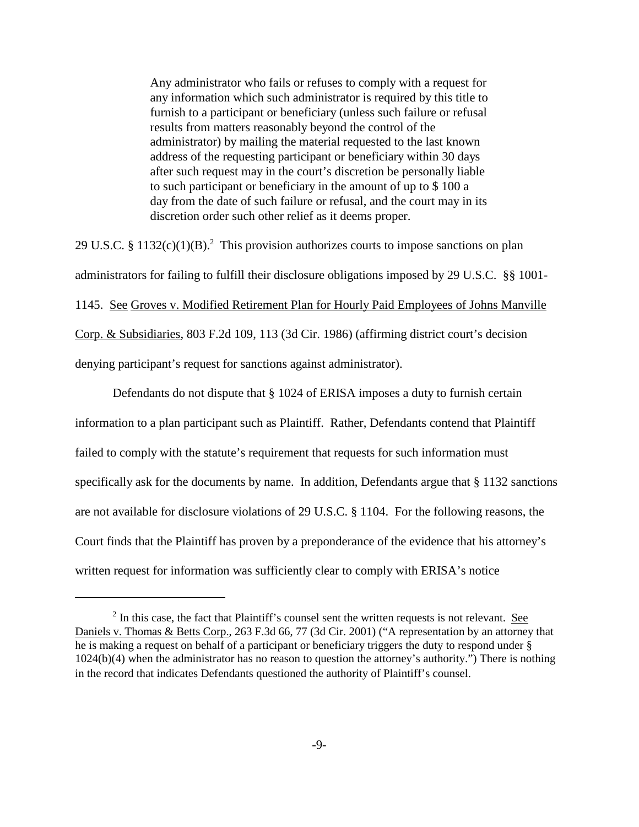Any administrator who fails or refuses to comply with a request for any information which such administrator is required by this title to furnish to a participant or beneficiary (unless such failure or refusal results from matters reasonably beyond the control of the administrator) by mailing the material requested to the last known address of the requesting participant or beneficiary within 30 days after such request may in the court's discretion be personally liable to such participant or beneficiary in the amount of up to \$ 100 a day from the date of such failure or refusal, and the court may in its discretion order such other relief as it deems proper.

29 U.S.C. § 1132(c)(1)(B).<sup>2</sup> This provision authorizes courts to impose sanctions on plan administrators for failing to fulfill their disclosure obligations imposed by 29 U.S.C. §§ 1001- 1145. See Groves v. Modified Retirement Plan for Hourly Paid Employees of Johns Manville Corp. & Subsidiaries, 803 F.2d 109, 113 (3d Cir. 1986) (affirming district court's decision denying participant's request for sanctions against administrator).

Defendants do not dispute that § 1024 of ERISA imposes a duty to furnish certain information to a plan participant such as Plaintiff. Rather, Defendants contend that Plaintiff failed to comply with the statute's requirement that requests for such information must specifically ask for the documents by name. In addition, Defendants argue that § 1132 sanctions are not available for disclosure violations of 29 U.S.C. § 1104. For the following reasons, the Court finds that the Plaintiff has proven by a preponderance of the evidence that his attorney's written request for information was sufficiently clear to comply with ERISA's notice

 $2 \text{ In this case, the fact that } \text{Plaintiff's} \text{ counts } \text{ent the written requests is not relevant.}$ Daniels v. Thomas & Betts Corp., 263 F.3d 66, 77 (3d Cir. 2001) ("A representation by an attorney that he is making a request on behalf of a participant or beneficiary triggers the duty to respond under § 1024(b)(4) when the administrator has no reason to question the attorney's authority.") There is nothing in the record that indicates Defendants questioned the authority of Plaintiff's counsel.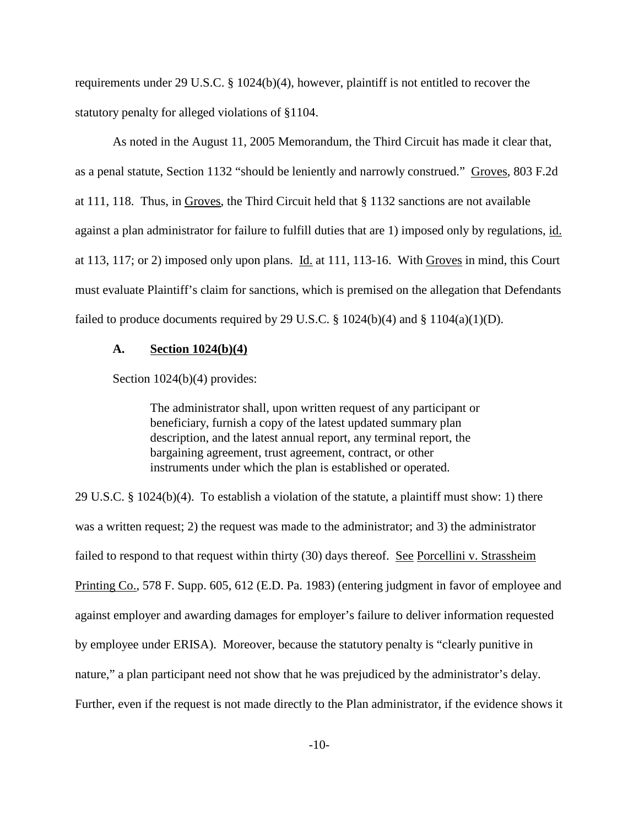requirements under 29 U.S.C. § 1024(b)(4), however, plaintiff is not entitled to recover the statutory penalty for alleged violations of §1104.

As noted in the August 11, 2005 Memorandum, the Third Circuit has made it clear that, as a penal statute, Section 1132 "should be leniently and narrowly construed." Groves, 803 F.2d at 111, 118. Thus, in Groves, the Third Circuit held that § 1132 sanctions are not available against a plan administrator for failure to fulfill duties that are 1) imposed only by regulations, id. at 113, 117; or 2) imposed only upon plans. Id. at 111, 113-16. With Groves in mind, this Court must evaluate Plaintiff's claim for sanctions, which is premised on the allegation that Defendants failed to produce documents required by 29 U.S.C.  $\S$  1024(b)(4) and  $\S$  1104(a)(1)(D).

#### **A. Section 1024(b)(4)**

Section  $1024(b)(4)$  provides:

The administrator shall, upon written request of any participant or beneficiary, furnish a copy of the latest updated summary plan description, and the latest annual report, any terminal report, the bargaining agreement, trust agreement, contract, or other instruments under which the plan is established or operated.

29 U.S.C. § 1024(b)(4). To establish a violation of the statute, a plaintiff must show: 1) there was a written request; 2) the request was made to the administrator; and 3) the administrator failed to respond to that request within thirty (30) days thereof. See Porcellini v. Strassheim Printing Co., 578 F. Supp. 605, 612 (E.D. Pa. 1983) (entering judgment in favor of employee and against employer and awarding damages for employer's failure to deliver information requested by employee under ERISA). Moreover, because the statutory penalty is "clearly punitive in nature," a plan participant need not show that he was prejudiced by the administrator's delay. Further, even if the request is not made directly to the Plan administrator, if the evidence shows it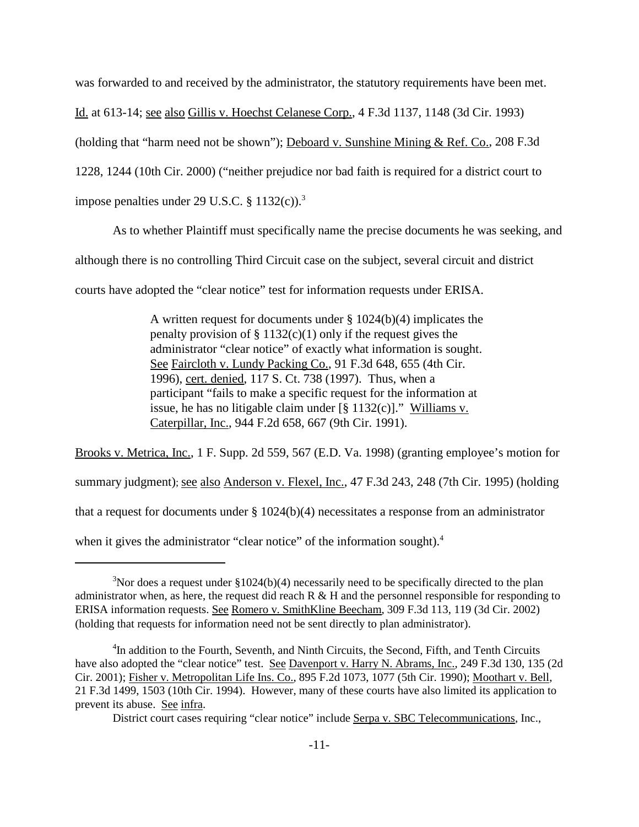was forwarded to and received by the administrator, the statutory requirements have been met.

Id. at 613-14; see also Gillis v. Hoechst Celanese Corp., 4 F.3d 1137, 1148 (3d Cir. 1993)

(holding that "harm need not be shown"); Deboard v. Sunshine Mining & Ref. Co., 208 F.3d

1228, 1244 (10th Cir. 2000) ("neither prejudice nor bad faith is required for a district court to

impose penalties under 29 U.S.C.  $\S 1132(c)$ .<sup>3</sup>

As to whether Plaintiff must specifically name the precise documents he was seeking, and

although there is no controlling Third Circuit case on the subject, several circuit and district

courts have adopted the "clear notice" test for information requests under ERISA.

A written request for documents under § 1024(b)(4) implicates the penalty provision of  $\S 1132(c)(1)$  only if the request gives the administrator "clear notice" of exactly what information is sought. See Faircloth v. Lundy Packing Co., 91 F.3d 648, 655 (4th Cir. 1996), cert. denied, 117 S. Ct. 738 (1997). Thus, when a participant "fails to make a specific request for the information at issue, he has no litigable claim under  $\lbrack \S$  1132(c)]." Williams v. Caterpillar, Inc., 944 F.2d 658, 667 (9th Cir. 1991).

Brooks v. Metrica, Inc., 1 F. Supp. 2d 559, 567 (E.D. Va. 1998) (granting employee's motion for summary judgment); <u>see also Anderson v. Flexel, Inc.</u>, 47 F.3d 243, 248 (7th Cir. 1995) (holding that a request for documents under § 1024(b)(4) necessitates a response from an administrator when it gives the administrator "clear notice" of the information sought).<sup>4</sup>

<sup>&</sup>lt;sup>3</sup>Nor does a request under  $$1024(b)(4)$  necessarily need to be specifically directed to the plan administrator when, as here, the request did reach  $R \& H$  and the personnel responsible for responding to ERISA information requests. See Romero v. SmithKline Beecham, 309 F.3d 113, 119 (3d Cir. 2002) (holding that requests for information need not be sent directly to plan administrator).

<sup>&</sup>lt;sup>4</sup>In addition to the Fourth, Seventh, and Ninth Circuits, the Second, Fifth, and Tenth Circuits have also adopted the "clear notice" test. See Davenport v. Harry N. Abrams, Inc., 249 F.3d 130, 135 (2d Cir. 2001); Fisher v. Metropolitan Life Ins. Co., 895 F.2d 1073, 1077 (5th Cir. 1990); Moothart v. Bell, 21 F.3d 1499, 1503 (10th Cir. 1994). However, many of these courts have also limited its application to prevent its abuse. See infra.

District court cases requiring "clear notice" include Serpa v. SBC Telecommunications, Inc.,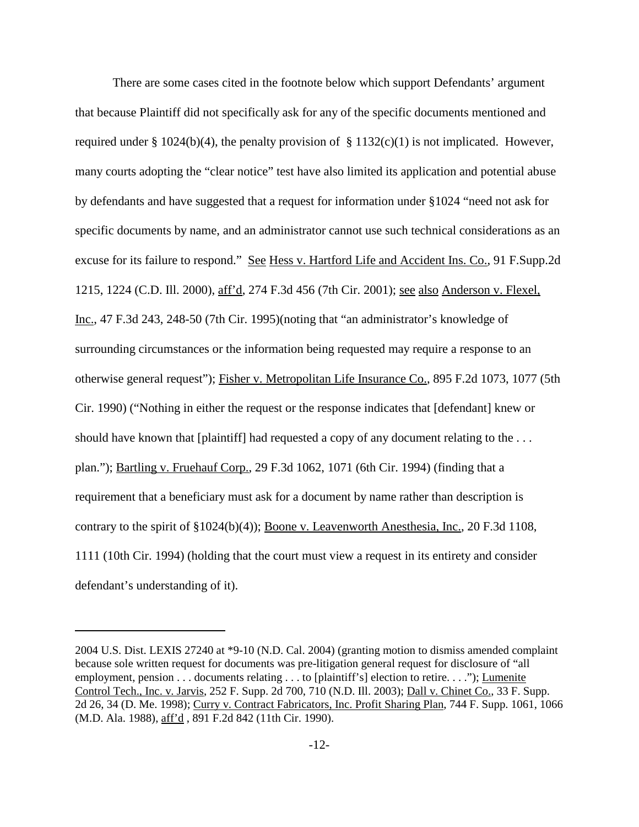There are some cases cited in the footnote below which support Defendants' argument that because Plaintiff did not specifically ask for any of the specific documents mentioned and required under § 1024(b)(4), the penalty provision of § 1132(c)(1) is not implicated. However, many courts adopting the "clear notice" test have also limited its application and potential abuse by defendants and have suggested that a request for information under §1024 "need not ask for specific documents by name, and an administrator cannot use such technical considerations as an excuse for its failure to respond." See Hess v. Hartford Life and Accident Ins. Co., 91 F.Supp.2d 1215, 1224 (C.D. Ill. 2000), aff'd, 274 F.3d 456 (7th Cir. 2001); see also Anderson v. Flexel, Inc., 47 F.3d 243, 248-50 (7th Cir. 1995)(noting that "an administrator's knowledge of surrounding circumstances or the information being requested may require a response to an otherwise general request"); Fisher v. Metropolitan Life Insurance Co., 895 F.2d 1073, 1077 (5th Cir. 1990) ("Nothing in either the request or the response indicates that [defendant] knew or should have known that [plaintiff] had requested a copy of any document relating to the ... plan."); Bartling v. Fruehauf Corp., 29 F.3d 1062, 1071 (6th Cir. 1994) (finding that a requirement that a beneficiary must ask for a document by name rather than description is contrary to the spirit of §1024(b)(4)); Boone v. Leavenworth Anesthesia, Inc., 20 F.3d 1108, 1111 (10th Cir. 1994) (holding that the court must view a request in its entirety and consider defendant's understanding of it).

<sup>2004</sup> U.S. Dist. LEXIS 27240 at \*9-10 (N.D. Cal. 2004) (granting motion to dismiss amended complaint because sole written request for documents was pre-litigation general request for disclosure of "all employment, pension . . . documents relating . . . to [plaintiff's] election to retire. . . ."); Lumenite Control Tech., Inc. v. Jarvis, 252 F. Supp. 2d 700, 710 (N.D. Ill. 2003); Dall v. Chinet Co., 33 F. Supp. 2d 26, 34 (D. Me. 1998); Curry v. Contract Fabricators, Inc. Profit Sharing Plan, 744 F. Supp. 1061, 1066 (M.D. Ala. 1988), aff'd , 891 F.2d 842 (11th Cir. 1990).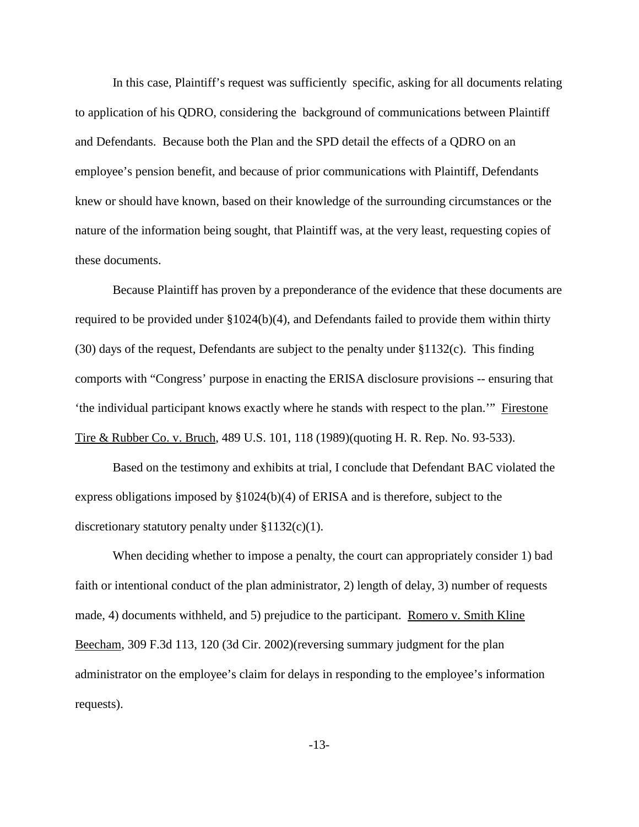In this case, Plaintiff's request was sufficiently specific, asking for all documents relating to application of his QDRO, considering the background of communications between Plaintiff and Defendants. Because both the Plan and the SPD detail the effects of a QDRO on an employee's pension benefit, and because of prior communications with Plaintiff, Defendants knew or should have known, based on their knowledge of the surrounding circumstances or the nature of the information being sought, that Plaintiff was, at the very least, requesting copies of these documents.

Because Plaintiff has proven by a preponderance of the evidence that these documents are required to be provided under §1024(b)(4), and Defendants failed to provide them within thirty (30) days of the request, Defendants are subject to the penalty under §1132(c). This finding comports with "Congress' purpose in enacting the ERISA disclosure provisions -- ensuring that 'the individual participant knows exactly where he stands with respect to the plan.'" Firestone Tire & Rubber Co. v. Bruch, 489 U.S. 101, 118 (1989)(quoting H. R. Rep. No. 93-533).

Based on the testimony and exhibits at trial, I conclude that Defendant BAC violated the express obligations imposed by §1024(b)(4) of ERISA and is therefore, subject to the discretionary statutory penalty under  $$1132(c)(1)$ .

When deciding whether to impose a penalty, the court can appropriately consider 1) bad faith or intentional conduct of the plan administrator, 2) length of delay, 3) number of requests made, 4) documents withheld, and 5) prejudice to the participant. Romero v. Smith Kline Beecham, 309 F.3d 113, 120 (3d Cir. 2002)(reversing summary judgment for the plan administrator on the employee's claim for delays in responding to the employee's information requests).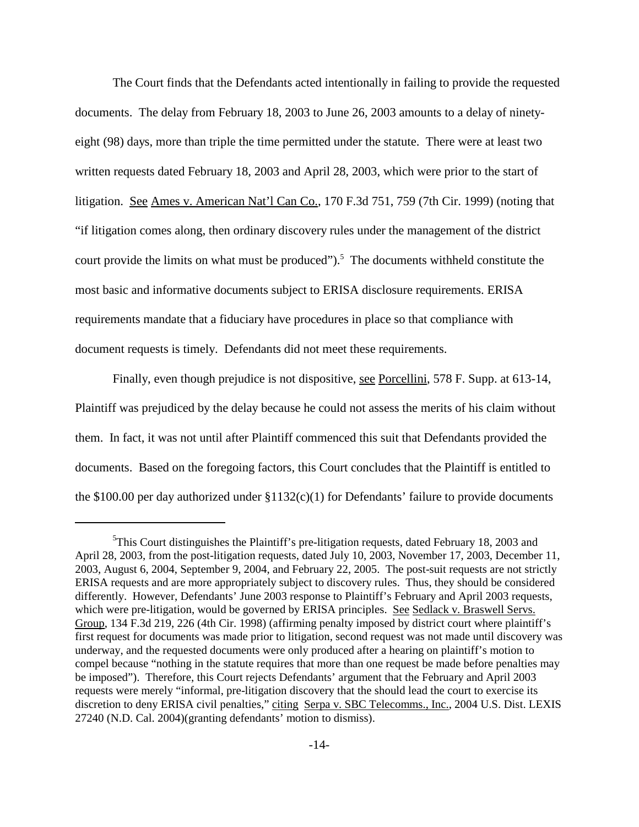The Court finds that the Defendants acted intentionally in failing to provide the requested documents. The delay from February 18, 2003 to June 26, 2003 amounts to a delay of ninetyeight (98) days, more than triple the time permitted under the statute. There were at least two written requests dated February 18, 2003 and April 28, 2003, which were prior to the start of litigation. See Ames v. American Nat'l Can Co., 170 F.3d 751, 759 (7th Cir. 1999) (noting that "if litigation comes along, then ordinary discovery rules under the management of the district court provide the limits on what must be produced").<sup>5</sup> The documents withheld constitute the most basic and informative documents subject to ERISA disclosure requirements. ERISA requirements mandate that a fiduciary have procedures in place so that compliance with document requests is timely. Defendants did not meet these requirements.

Finally, even though prejudice is not dispositive, see Porcellini, 578 F. Supp. at 613-14, Plaintiff was prejudiced by the delay because he could not assess the merits of his claim without them. In fact, it was not until after Plaintiff commenced this suit that Defendants provided the documents. Based on the foregoing factors, this Court concludes that the Plaintiff is entitled to the \$100.00 per day authorized under  $$1132(c)(1)$  for Defendants' failure to provide documents

<sup>&</sup>lt;sup>5</sup>This Court distinguishes the Plaintiff's pre-litigation requests, dated February 18, 2003 and April 28, 2003, from the post-litigation requests, dated July 10, 2003, November 17, 2003, December 11, 2003, August 6, 2004, September 9, 2004, and February 22, 2005. The post-suit requests are not strictly ERISA requests and are more appropriately subject to discovery rules. Thus, they should be considered differently. However, Defendants' June 2003 response to Plaintiff's February and April 2003 requests, which were pre-litigation, would be governed by ERISA principles. See Sedlack v. Braswell Servs. Group, 134 F.3d 219, 226 (4th Cir. 1998) (affirming penalty imposed by district court where plaintiff's first request for documents was made prior to litigation, second request was not made until discovery was underway, and the requested documents were only produced after a hearing on plaintiff's motion to compel because "nothing in the statute requires that more than one request be made before penalties may be imposed"). Therefore, this Court rejects Defendants' argument that the February and April 2003 requests were merely "informal, pre-litigation discovery that the should lead the court to exercise its discretion to deny ERISA civil penalties," citing Serpa v. SBC Telecomms., Inc., 2004 U.S. Dist. LEXIS 27240 (N.D. Cal. 2004)(granting defendants' motion to dismiss).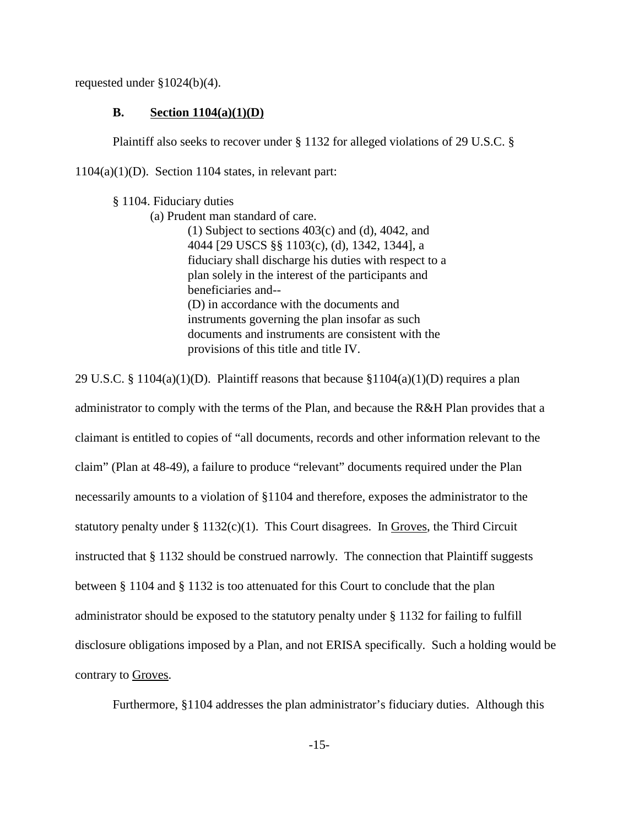requested under §1024(b)(4).

## **B. Section 1104(a)(1)(D)**

Plaintiff also seeks to recover under § 1132 for alleged violations of 29 U.S.C. §

 $1104(a)(1)(D)$ . Section 1104 states, in relevant part:

§ 1104. Fiduciary duties

(a) Prudent man standard of care.

(1) Subject to sections 403(c) and (d), 4042, and 4044 [29 USCS §§ 1103(c), (d), 1342, 1344], a fiduciary shall discharge his duties with respect to a plan solely in the interest of the participants and beneficiaries and-- (D) in accordance with the documents and instruments governing the plan insofar as such documents and instruments are consistent with the provisions of this title and title IV.

29 U.S.C. § 1104(a)(1)(D). Plaintiff reasons that because §1104(a)(1)(D) requires a plan administrator to comply with the terms of the Plan, and because the R&H Plan provides that a claimant is entitled to copies of "all documents, records and other information relevant to the claim" (Plan at 48-49), a failure to produce "relevant" documents required under the Plan necessarily amounts to a violation of §1104 and therefore, exposes the administrator to the statutory penalty under  $\S 1132(c)(1)$ . This Court disagrees. In Groves, the Third Circuit instructed that § 1132 should be construed narrowly. The connection that Plaintiff suggests between § 1104 and § 1132 is too attenuated for this Court to conclude that the plan administrator should be exposed to the statutory penalty under § 1132 for failing to fulfill disclosure obligations imposed by a Plan, and not ERISA specifically. Such a holding would be contrary to Groves.

Furthermore, §1104 addresses the plan administrator's fiduciary duties. Although this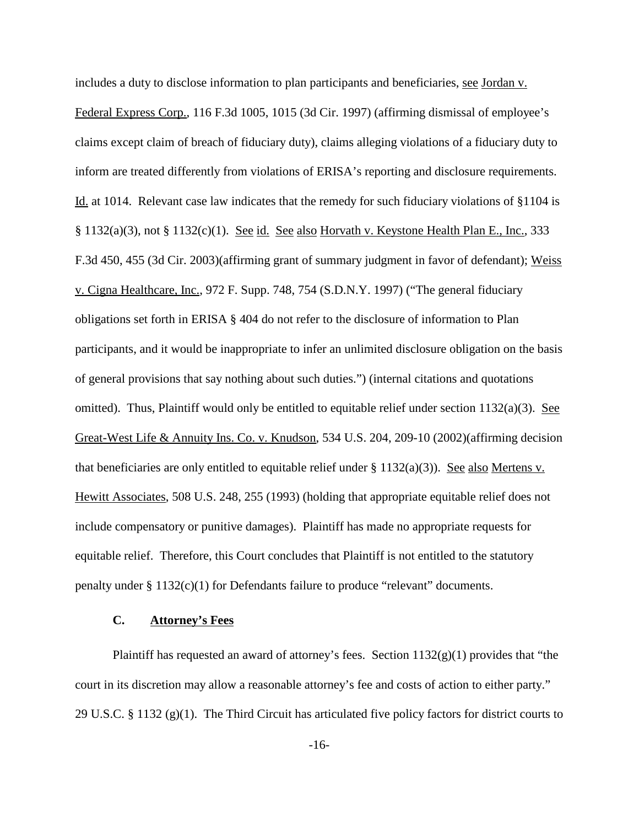includes a duty to disclose information to plan participants and beneficiaries, see Jordan v. Federal Express Corp., 116 F.3d 1005, 1015 (3d Cir. 1997) (affirming dismissal of employee's claims except claim of breach of fiduciary duty), claims alleging violations of a fiduciary duty to inform are treated differently from violations of ERISA's reporting and disclosure requirements. Id. at 1014. Relevant case law indicates that the remedy for such fiduciary violations of §1104 is § 1132(a)(3), not § 1132(c)(1). See id. See also Horvath v. Keystone Health Plan E., Inc., 333 F.3d 450, 455 (3d Cir. 2003)(affirming grant of summary judgment in favor of defendant); Weiss v. Cigna Healthcare, Inc., 972 F. Supp. 748, 754 (S.D.N.Y. 1997) ("The general fiduciary obligations set forth in ERISA § 404 do not refer to the disclosure of information to Plan participants, and it would be inappropriate to infer an unlimited disclosure obligation on the basis of general provisions that say nothing about such duties.") (internal citations and quotations omitted). Thus, Plaintiff would only be entitled to equitable relief under section 1132(a)(3). See Great-West Life & Annuity Ins. Co. v. Knudson, 534 U.S. 204, 209-10 (2002)(affirming decision that beneficiaries are only entitled to equitable relief under  $\S 1132(a)(3)$ ). See also Mertens v. Hewitt Associates, 508 U.S. 248, 255 (1993) (holding that appropriate equitable relief does not include compensatory or punitive damages). Plaintiff has made no appropriate requests for equitable relief. Therefore, this Court concludes that Plaintiff is not entitled to the statutory penalty under § 1132(c)(1) for Defendants failure to produce "relevant" documents.

### **C. Attorney's Fees**

Plaintiff has requested an award of attorney's fees. Section  $1132(g)(1)$  provides that "the court in its discretion may allow a reasonable attorney's fee and costs of action to either party." 29 U.S.C. § 1132 (g)(1). The Third Circuit has articulated five policy factors for district courts to

-16-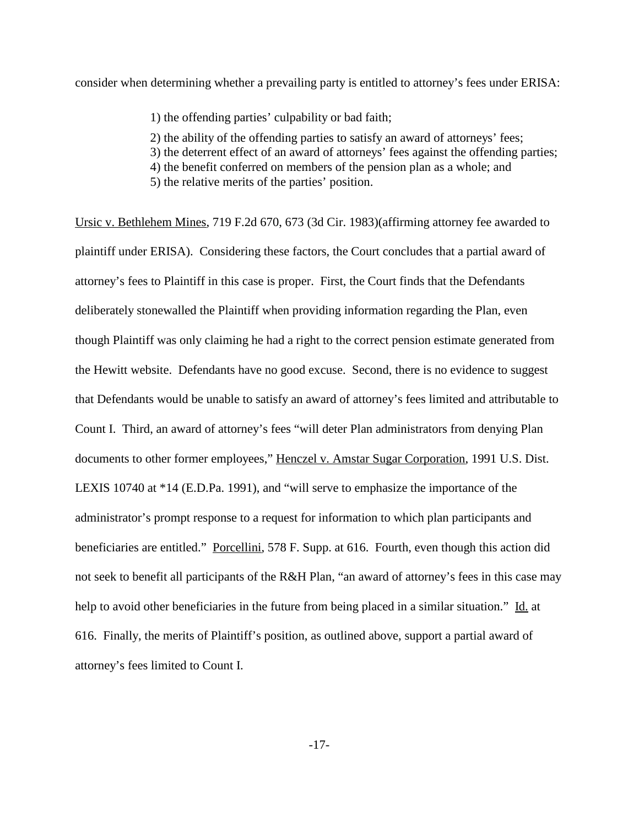consider when determining whether a prevailing party is entitled to attorney's fees under ERISA:

1) the offending parties' culpability or bad faith;

2) the ability of the offending parties to satisfy an award of attorneys' fees; 3) the deterrent effect of an award of attorneys' fees against the offending parties; 4) the benefit conferred on members of the pension plan as a whole; and 5) the relative merits of the parties' position.

Ursic v. Bethlehem Mines, 719 F.2d 670, 673 (3d Cir. 1983)(affirming attorney fee awarded to plaintiff under ERISA). Considering these factors, the Court concludes that a partial award of attorney's fees to Plaintiff in this case is proper. First, the Court finds that the Defendants deliberately stonewalled the Plaintiff when providing information regarding the Plan, even though Plaintiff was only claiming he had a right to the correct pension estimate generated from the Hewitt website. Defendants have no good excuse. Second, there is no evidence to suggest that Defendants would be unable to satisfy an award of attorney's fees limited and attributable to Count I. Third, an award of attorney's fees "will deter Plan administrators from denying Plan documents to other former employees," Henczel v. Amstar Sugar Corporation, 1991 U.S. Dist. LEXIS 10740 at \*14 (E.D.Pa. 1991), and "will serve to emphasize the importance of the administrator's prompt response to a request for information to which plan participants and beneficiaries are entitled." Porcellini, 578 F. Supp. at 616. Fourth, even though this action did not seek to benefit all participants of the R&H Plan, "an award of attorney's fees in this case may help to avoid other beneficiaries in the future from being placed in a similar situation." Id. at 616. Finally, the merits of Plaintiff's position, as outlined above, support a partial award of attorney's fees limited to Count I.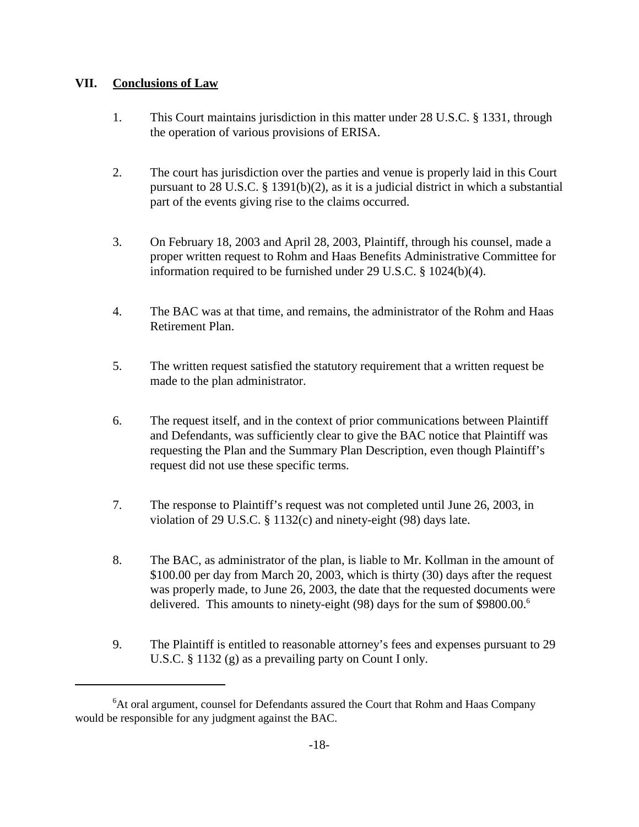# **VII. Conclusions of Law**

- 1. This Court maintains jurisdiction in this matter under 28 U.S.C. § 1331, through the operation of various provisions of ERISA.
- 2. The court has jurisdiction over the parties and venue is properly laid in this Court pursuant to 28 U.S.C. § 1391(b)(2), as it is a judicial district in which a substantial part of the events giving rise to the claims occurred.
- 3. On February 18, 2003 and April 28, 2003, Plaintiff, through his counsel, made a proper written request to Rohm and Haas Benefits Administrative Committee for information required to be furnished under 29 U.S.C. § 1024(b)(4).
- 4. The BAC was at that time, and remains, the administrator of the Rohm and Haas Retirement Plan.
- 5. The written request satisfied the statutory requirement that a written request be made to the plan administrator.
- 6. The request itself, and in the context of prior communications between Plaintiff and Defendants, was sufficiently clear to give the BAC notice that Plaintiff was requesting the Plan and the Summary Plan Description, even though Plaintiff's request did not use these specific terms.
- 7. The response to Plaintiff's request was not completed until June 26, 2003, in violation of 29 U.S.C. § 1132(c) and ninety-eight (98) days late.
- 8. The BAC, as administrator of the plan, is liable to Mr. Kollman in the amount of \$100.00 per day from March 20, 2003, which is thirty (30) days after the request was properly made, to June 26, 2003, the date that the requested documents were delivered. This amounts to ninety-eight (98) days for the sum of \$9800.00.<sup>6</sup>
- 9. The Plaintiff is entitled to reasonable attorney's fees and expenses pursuant to 29 U.S.C. § 1132 (g) as a prevailing party on Count I only.

<sup>&</sup>lt;sup>6</sup>At oral argument, counsel for Defendants assured the Court that Rohm and Haas Company would be responsible for any judgment against the BAC.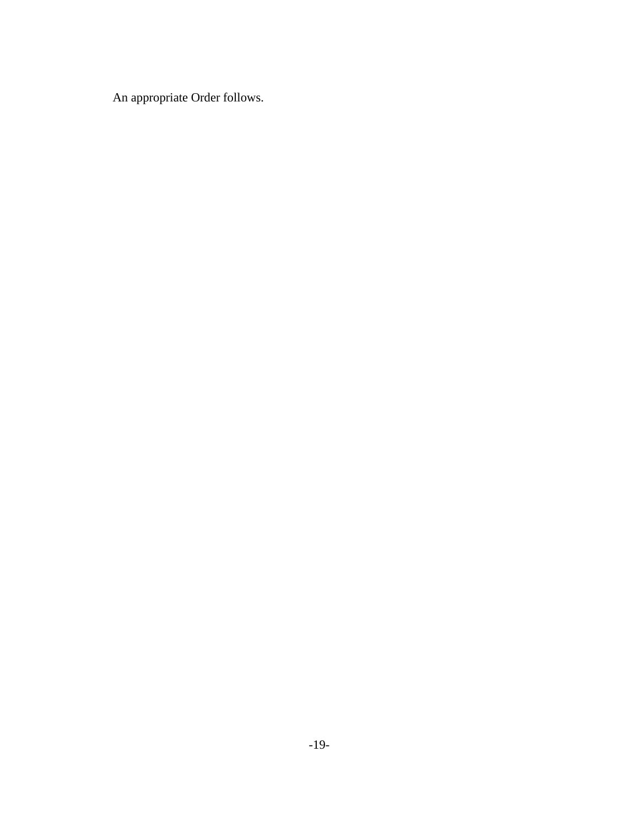An appropriate Order follows.